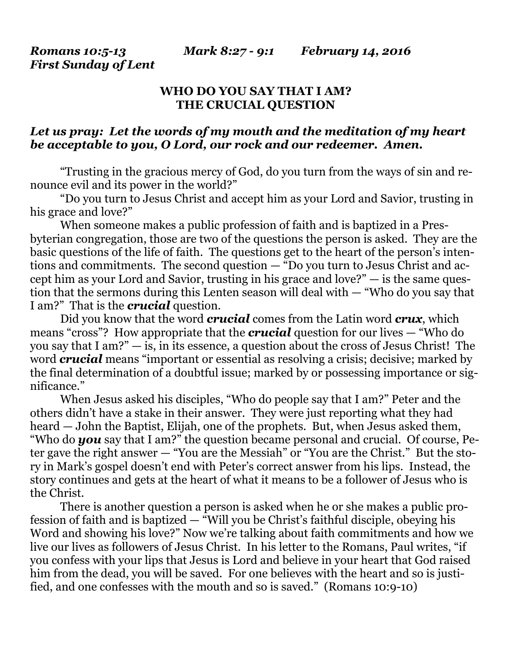*Romans 10:5-13 Mark 8:27 - 9:1 February 14, 2016* 

## **WHO DO YOU SAY THAT I AM? THE CRUCIAL QUESTION**

## *Let us pray: Let the words of my mouth and the meditation of my heart be acceptable to you, O Lord, our rock and our redeemer. Amen.*

"Trusting in the gracious mercy of God, do you turn from the ways of sin and renounce evil and its power in the world?"

 "Do you turn to Jesus Christ and accept him as your Lord and Savior, trusting in his grace and love?"

 When someone makes a public profession of faith and is baptized in a Presbyterian congregation, those are two of the questions the person is asked. They are the basic questions of the life of faith. The questions get to the heart of the person's intentions and commitments. The second question — "Do you turn to Jesus Christ and accept him as your Lord and Savior, trusting in his grace and love?" — is the same question that the sermons during this Lenten season will deal with — "Who do you say that I am?" That is the *crucial* question.

 Did you know that the word *crucial* comes from the Latin word *crux*, which means "cross"? How appropriate that the *crucial* question for our lives — "Who do you say that I am?" — is, in its essence, a question about the cross of Jesus Christ! The word *crucial* means "important or essential as resolving a crisis; decisive; marked by the final determination of a doubtful issue; marked by or possessing importance or significance."

 When Jesus asked his disciples, "Who do people say that I am?" Peter and the others didn't have a stake in their answer. They were just reporting what they had heard — John the Baptist, Elijah, one of the prophets. But, when Jesus asked them, "Who do *you* say that I am?" the question became personal and crucial. Of course, Peter gave the right answer — "You are the Messiah" or "You are the Christ." But the story in Mark's gospel doesn't end with Peter's correct answer from his lips. Instead, the story continues and gets at the heart of what it means to be a follower of Jesus who is the Christ.

 There is another question a person is asked when he or she makes a public profession of faith and is baptized — "Will you be Christ's faithful disciple, obeying his Word and showing his love?" Now we're talking about faith commitments and how we live our lives as followers of Jesus Christ. In his letter to the Romans, Paul writes, "if you confess with your lips that Jesus is Lord and believe in your heart that God raised him from the dead, you will be saved. For one believes with the heart and so is justified, and one confesses with the mouth and so is saved." (Romans 10:9-10)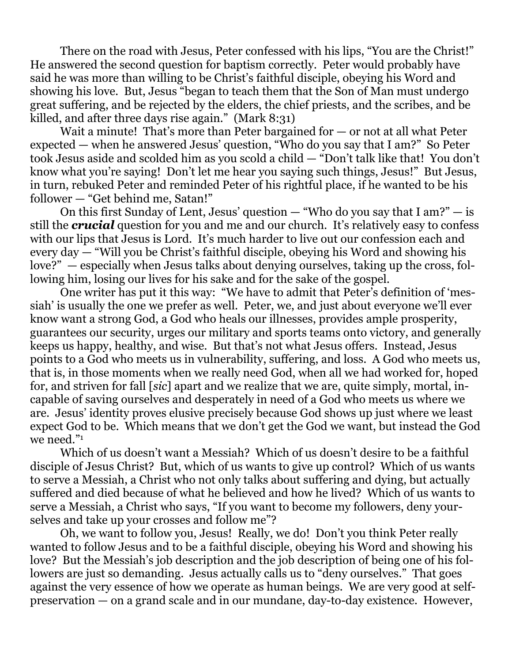There on the road with Jesus, Peter confessed with his lips, "You are the Christ!" He answered the second question for baptism correctly. Peter would probably have said he was more than willing to be Christ's faithful disciple, obeying his Word and showing his love. But, Jesus "began to teach them that the Son of Man must undergo great suffering, and be rejected by the elders, the chief priests, and the scribes, and be killed, and after three days rise again." (Mark 8:31)

Wait a minute! That's more than Peter bargained for — or not at all what Peter expected — when he answered Jesus' question, "Who do you say that I am?" So Peter took Jesus aside and scolded him as you scold a child — "Don't talk like that! You don't know what you're saying! Don't let me hear you saying such things, Jesus!" But Jesus, in turn, rebuked Peter and reminded Peter of his rightful place, if he wanted to be his follower — "Get behind me, Satan!"

On this first Sunday of Lent, Jesus' question  $-$  "Who do you say that I am?"  $-$  is still the *crucial* question for you and me and our church. It's relatively easy to confess with our lips that Jesus is Lord. It's much harder to live out our confession each and every day — "Will you be Christ's faithful disciple, obeying his Word and showing his love?" — especially when Jesus talks about denying ourselves, taking up the cross, following him, losing our lives for his sake and for the sake of the gospel.

 One writer has put it this way: "We have to admit that Peter's definition of 'messiah' is usually the one we prefer as well. Peter, we, and just about everyone we'll ever know want a strong God, a God who heals our illnesses, provides ample prosperity, guarantees our security, urges our military and sports teams onto victory, and generally keeps us happy, healthy, and wise. But that's not what Jesus offers. Instead, Jesus points to a God who meets us in vulnerability, suffering, and loss. A God who meets us, that is, in those moments when we really need God, when all we had worked for, hoped for, and striven for fall [*sic*] apart and we realize that we are, quite simply, mortal, incapable of saving ourselves and desperately in need of a God who meets us where we are. Jesus' identity proves elusive precisely because God shows up just where we least expect God to be. Which means that we don't get the God we want, but instead the God we need."1

 Which of us doesn't want a Messiah? Which of us doesn't desire to be a faithful disciple of Jesus Christ? But, which of us wants to give up control? Which of us wants to serve a Messiah, a Christ who not only talks about suffering and dying, but actually suffered and died because of what he believed and how he lived? Which of us wants to serve a Messiah, a Christ who says, "If you want to become my followers, deny yourselves and take up your crosses and follow me"?

 Oh, we want to follow you, Jesus! Really, we do! Don't you think Peter really wanted to follow Jesus and to be a faithful disciple, obeying his Word and showing his love? But the Messiah's job description and the job description of being one of his followers are just so demanding. Jesus actually calls us to "deny ourselves." That goes against the very essence of how we operate as human beings. We are very good at selfpreservation — on a grand scale and in our mundane, day-to-day existence. However,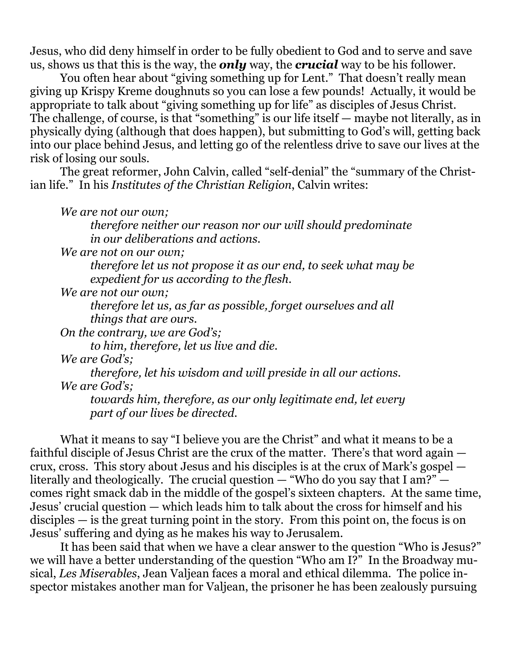Jesus, who did deny himself in order to be fully obedient to God and to serve and save us, shows us that this is the way, the *only* way, the *crucial* way to be his follower.

 You often hear about "giving something up for Lent." That doesn't really mean giving up Krispy Kreme doughnuts so you can lose a few pounds! Actually, it would be appropriate to talk about "giving something up for life" as disciples of Jesus Christ. The challenge, of course, is that "something" is our life itself — maybe not literally, as in physically dying (although that does happen), but submitting to God's will, getting back into our place behind Jesus, and letting go of the relentless drive to save our lives at the risk of losing our souls.

 The great reformer, John Calvin, called "self-denial" the "summary of the Christian life." In his *Institutes of the Christian Religion*, Calvin writes:

*We are not our own;*

 *therefore neither our reason nor our will should predominate in our deliberations and actions.*

 *We are not on our own;*

 *therefore let us not propose it as our end, to seek what may be expedient for us according to the flesh.*

 *We are not our own;*

 *therefore let us, as far as possible, forget ourselves and all things that are ours.*

 *On the contrary, we are God's;*

 *to him, therefore, let us live and die.*

 *We are God's;*

 *therefore, let his wisdom and will preside in all our actions. We are God's;*

 *towards him, therefore, as our only legitimate end, let every part of our lives be directed.*

 What it means to say "I believe you are the Christ" and what it means to be a faithful disciple of Jesus Christ are the crux of the matter. There's that word again crux, cross. This story about Jesus and his disciples is at the crux of Mark's gospel literally and theologically. The crucial question — "Who do you say that I am?" comes right smack dab in the middle of the gospel's sixteen chapters. At the same time, Jesus' crucial question — which leads him to talk about the cross for himself and his disciples — is the great turning point in the story. From this point on, the focus is on Jesus' suffering and dying as he makes his way to Jerusalem.

 It has been said that when we have a clear answer to the question "Who is Jesus?" we will have a better understanding of the question "Who am I?" In the Broadway musical, *Les Miserables*, Jean Valjean faces a moral and ethical dilemma. The police inspector mistakes another man for Valjean, the prisoner he has been zealously pursuing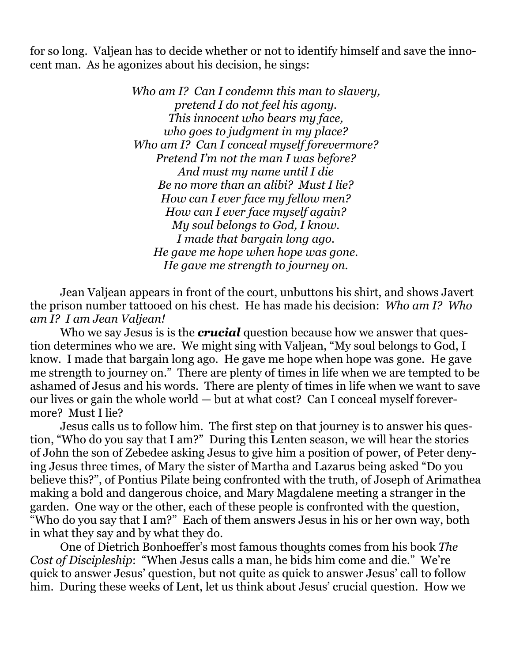for so long. Valjean has to decide whether or not to identify himself and save the innocent man. As he agonizes about his decision, he sings:

> *Who am I? Can I condemn this man to slavery, pretend I do not feel his agony. This innocent who bears my face, who goes to judgment in my place? Who am I? Can I conceal myself forevermore? Pretend I'm not the man I was before? And must my name until I die Be no more than an alibi? Must I lie? How can I ever face my fellow men? How can I ever face myself again? My soul belongs to God, I know. I made that bargain long ago. He gave me hope when hope was gone. He gave me strength to journey on.*

 Jean Valjean appears in front of the court, unbuttons his shirt, and shows Javert the prison number tattooed on his chest. He has made his decision: *Who am I? Who am I? I am Jean Valjean!*

Who we say Jesus is is the *crucial* question because how we answer that question determines who we are. We might sing with Valjean, "My soul belongs to God, I know. I made that bargain long ago. He gave me hope when hope was gone. He gave me strength to journey on." There are plenty of times in life when we are tempted to be ashamed of Jesus and his words. There are plenty of times in life when we want to save our lives or gain the whole world — but at what cost? Can I conceal myself forevermore? Must I lie?

 Jesus calls us to follow him. The first step on that journey is to answer his question, "Who do you say that I am?" During this Lenten season, we will hear the stories of John the son of Zebedee asking Jesus to give him a position of power, of Peter denying Jesus three times, of Mary the sister of Martha and Lazarus being asked "Do you believe this?", of Pontius Pilate being confronted with the truth, of Joseph of Arimathea making a bold and dangerous choice, and Mary Magdalene meeting a stranger in the garden. One way or the other, each of these people is confronted with the question, "Who do you say that I am?" Each of them answers Jesus in his or her own way, both in what they say and by what they do.

 One of Dietrich Bonhoeffer's most famous thoughts comes from his book *The Cost of Discipleship*: "When Jesus calls a man, he bids him come and die." We're quick to answer Jesus' question, but not quite as quick to answer Jesus' call to follow him. During these weeks of Lent, let us think about Jesus' crucial question. How we